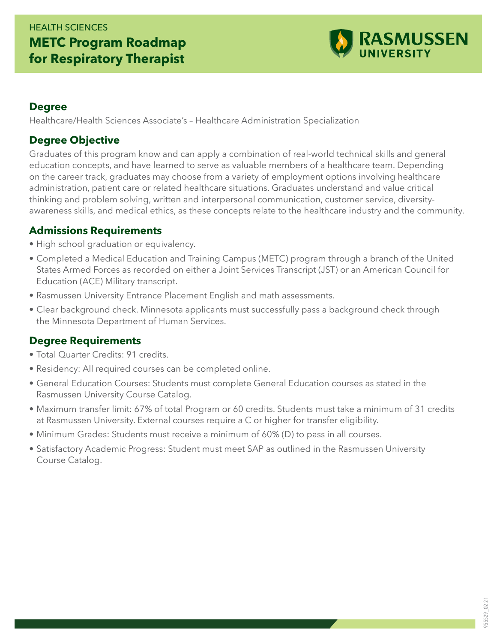## HEALTH SCIENCES **METC Program Roadmap for Respiratory Therapist**



#### **Degree**

Healthcare/Health Sciences Associate's – Healthcare Administration Specialization

#### **Degree Objective**

Graduates of this program know and can apply a combination of real-world technical skills and general education concepts, and have learned to serve as valuable members of a healthcare team. Depending on the career track, graduates may choose from a variety of employment options involving healthcare administration, patient care or related healthcare situations. Graduates understand and value critical thinking and problem solving, written and interpersonal communication, customer service, diversityawareness skills, and medical ethics, as these concepts relate to the healthcare industry and the community.

#### **Admissions Requirements**

- High school graduation or equivalency.
- Completed a Medical Education and Training Campus (METC) program through a branch of the United States Armed Forces as recorded on either a Joint Services Transcript (JST) or an American Council for Education (ACE) Military transcript.
- Rasmussen University Entrance Placement English and math assessments.
- Clear background check. Minnesota applicants must successfully pass a background check through the Minnesota Department of Human Services.

### **Degree Requirements**

- Total Quarter Credits: 91 credits.
- Residency: All required courses can be completed online.
- General Education Courses: Students must complete General Education courses as stated in the Rasmussen University Course Catalog.
- Maximum transfer limit: 67% of total Program or 60 credits. Students must take a minimum of 31 credits at Rasmussen University. External courses require a C or higher for transfer eligibility.
- Minimum Grades: Students must receive a minimum of 60% (D) to pass in all courses.
- Satisfactory Academic Progress: Student must meet SAP as outlined in the Rasmussen University Course Catalog.